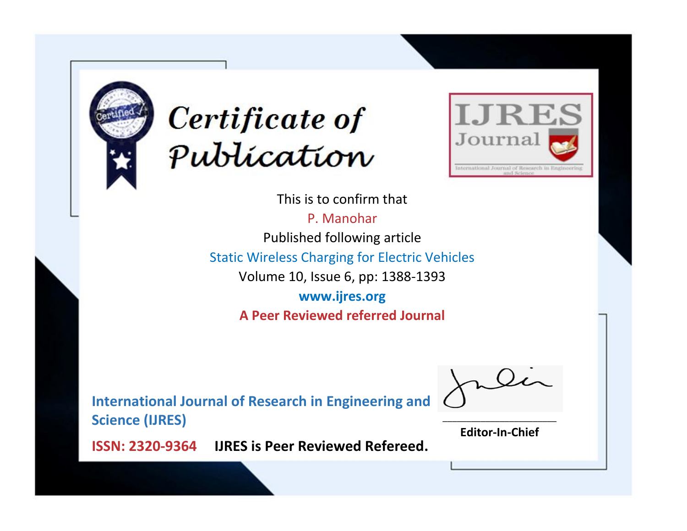



This is to confirm that

P. Manohar Published following article Static Wireless Charging for Electric Vehicles Volume 10, Issue 6, pp: 1388-1393

**www.ijres.org A Peer Reviewed referred Journal**

**International Journal of Research in Engineering and Science (IJRES)**

\_\_\_\_\_\_\_\_\_\_\_\_\_\_\_\_\_\_\_\_\_\_\_\_ **Editor-In-Chief**

**Journal.**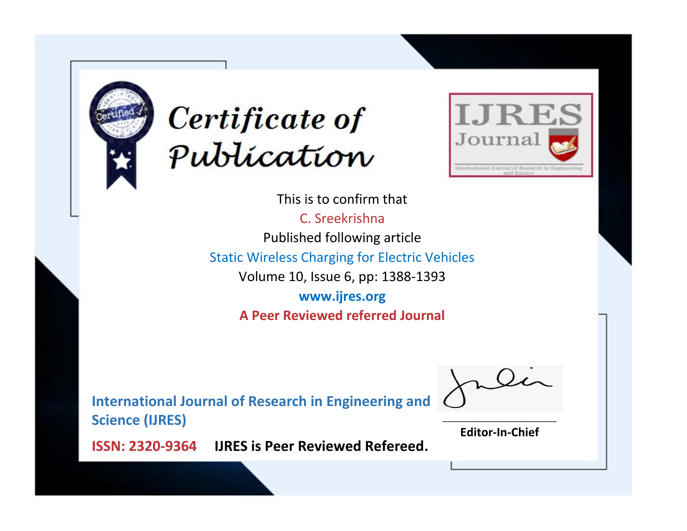



This is to confirm that C. Sreekrishna Published following article Static Wireless Charging for Electric Vehicles Volume 10, Issue 6, pp: 1388-1393 **www.ijres.org A Peer Reviewed referred Journal**

**International Journal of Research in Engineering and Science (IJRES)**

\_\_\_\_\_\_\_\_\_\_\_\_\_\_\_\_\_\_\_\_\_\_\_\_ **Editor-In-Chief**

**Journal.**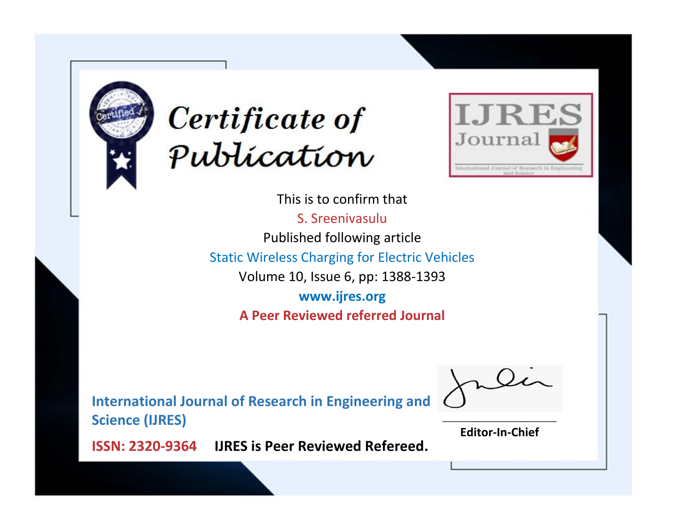



This is to confirm that S. Sreenivasulu Published following article Static Wireless Charging for Electric Vehicles Volume 10, Issue 6, pp: 1388-1393 **www.ijres.org A Peer Reviewed referred Journal**

**International Journal of Research in Engineering and Science (IJRES)**

\_\_\_\_\_\_\_\_\_\_\_\_\_\_\_\_\_\_\_\_\_\_\_\_ **Editor-In-Chief**

**Journal.**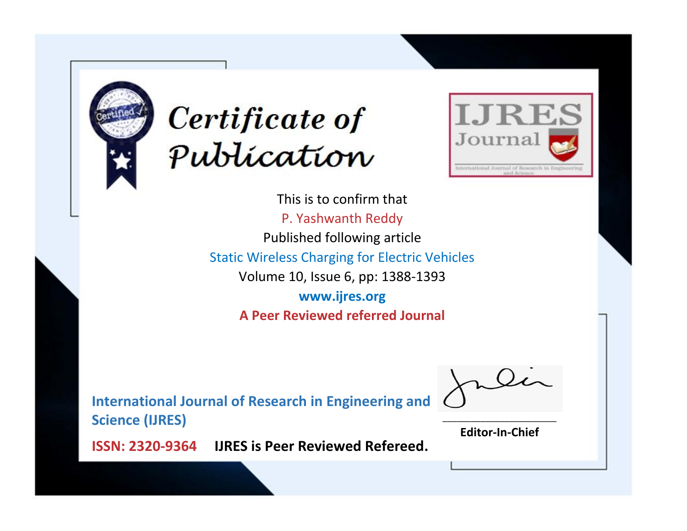



This is to confirm that P. Yashwanth Reddy Published following article Static Wireless Charging for Electric Vehicles Volume 10, Issue 6, pp: 1388-1393 **www.ijres.org A Peer Reviewed referred Journal**

**International Journal of Research in Engineering and Science (IJRES)**

\_\_\_\_\_\_\_\_\_\_\_\_\_\_\_\_\_\_\_\_\_\_\_\_ **Editor-In-Chief**

**Journal.**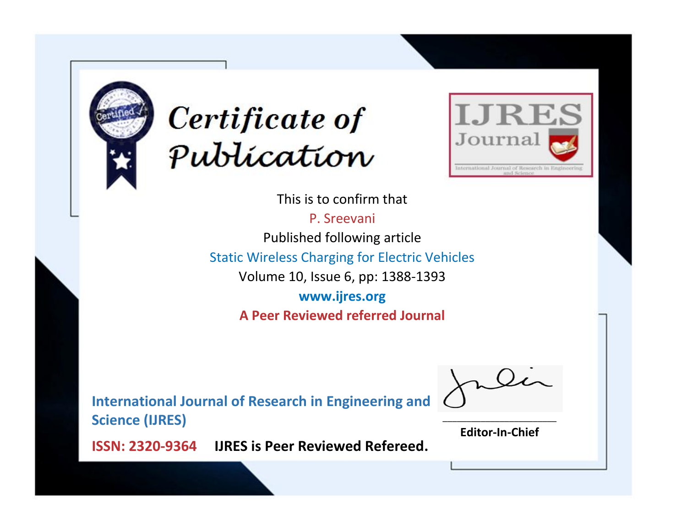



This is to confirm that

P. Sreevani Published following article

Static Wireless Charging for Electric Vehicles

Volume 10, Issue 6, pp: 1388-1393

**www.ijres.org A Peer Reviewed referred Journal**

**International Journal of Research in Engineering and Science (IJRES)**

\_\_\_\_\_\_\_\_\_\_\_\_\_\_\_\_\_\_\_\_\_\_\_\_ **Editor-In-Chief**

**Journal.**